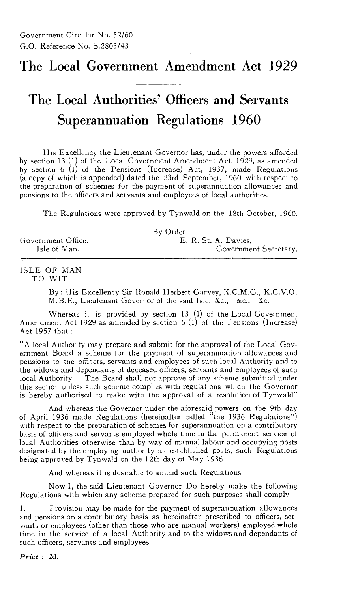## The Local Government Amendment Act 1929

# The Local Authorities' Officers and Servants Superannuation Regulations 1960

His Excellency the Lieutenant Governor has, under the powers afforded by section 13 (1) of the Local Government Amendment Act, 1929, as amended by section 6 (1) of the Pensions (Increase) Act, 1937, made Regulations (a copy of which is appended) dated the 23rd September, 1960 with respect to the preparation of schemes for the payment of superannuation allowances and pensions to the officers and servants and employees of local authorities.

The Regulations were approved by Tynwald on the 18th October, 1960.

|                    | By Order              |
|--------------------|-----------------------|
| Government Office. | E. R. St. A. Davies.  |
| Isle of Man.       | Government Secretary. |

#### ISLE OF MAN TO WIT

By: His Excellency Sir Ronald Herbert Garvey, K.C.M.G., K.C.V.O. M.B.E., Lieutenant Governor of the said Isle, &c., &c., &c.

Whereas it is provided by section 13 (1) of the Local Government Amendment Act 1929 as amended by section 6 (1) of the Pensions (Increase) Act 1957 that :

"A local Authority may prepare and submit for the approval of the Local Government Board a scheme for the payment of superannuation allowances and pensions to the officers, servants and employees of such local Authority and to the widows and dependants of deceased officers, servants and employees of such local Authority. The Board shall not approve of any scheme submitted under this section unless such scheme complies with regulations which the Governor is hereby authorised to make with the approval of a resolution of Tynwald"

And whereas the Governor under the aforesaid powers on the 9th day of April 1936 made Regulations (hereinafter called "the 1936 Regulations") with respect to the preparation of schemes for superannuation on a contributory basis of officers and servants employed whole time in the permanent service of local Authorities otherwise than by way of manual labour and occupying posts designated by the employing authority as established posts, such Regulations being approved by Tynwald on the 12th day of May 1936

And whereas it is desirable to amend such Regulations

Now I, the said Lieutenant Governor Do hereby make the following Regulations with which any scheme prepared for such purposes shall comply

1. Provision may be made for the payment of superannuation allowances and pensions on a contributory basis as hereinafter prescribed to officers, servants or employees (other than those who are manual workers) employed whole time in the service of a local Authority and to the widows and dependants of such officers, servants and employees

*Price :* 2d.